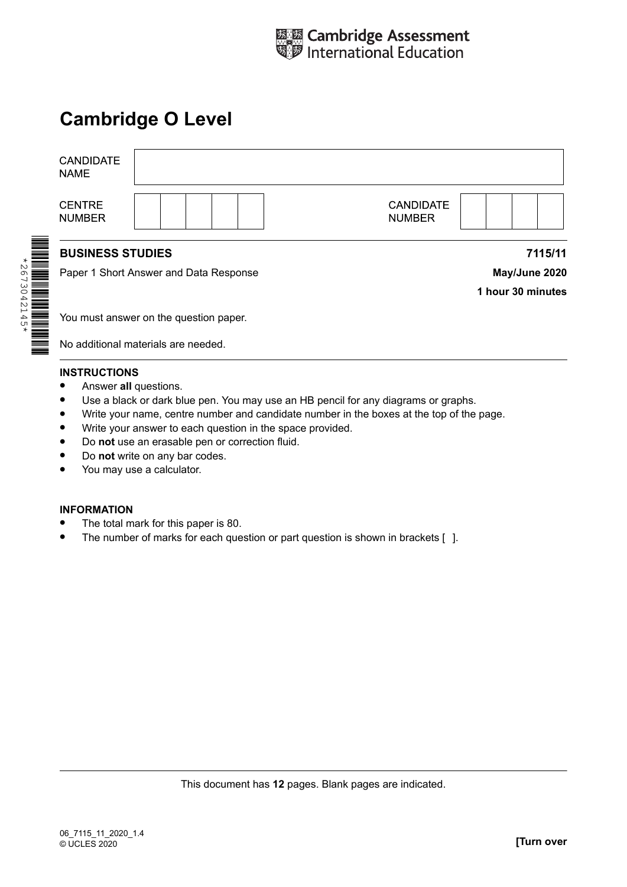

# **Cambridge O Level**

| <b>CANDIDATE</b><br><b>NAME</b> |                                        |                                   |
|---------------------------------|----------------------------------------|-----------------------------------|
| <b>CENTRE</b><br><b>NUMBER</b>  |                                        | <b>CANDIDATE</b><br><b>NUMBER</b> |
| <b>BUSINESS STUDIES</b>         |                                        | 7115/11                           |
|                                 | Paper 1 Short Answer and Data Response | May/June 2020                     |
|                                 |                                        | 1 hour 30 minutes                 |

You must answer on the question paper.

No additional materials are needed.

#### **INSTRUCTIONS**

- **•** Answer **all** questions.
- **•** Use a black or dark blue pen. You may use an HB pencil for any diagrams or graphs.
- **•** Write your name, centre number and candidate number in the boxes at the top of the page.
- **•** Write your answer to each question in the space provided.
- **•** Do **not** use an erasable pen or correction fluid.
- **•** Do **not** write on any bar codes.<br>• You may use a calculator
- **•** You may use a calculator.

#### **INFORMATION**

- **•** The total mark for this paper is 80.
- **•** The number of marks for each question or part question is shown in brackets [ ].

This document has **12** pages. Blank pages are indicated.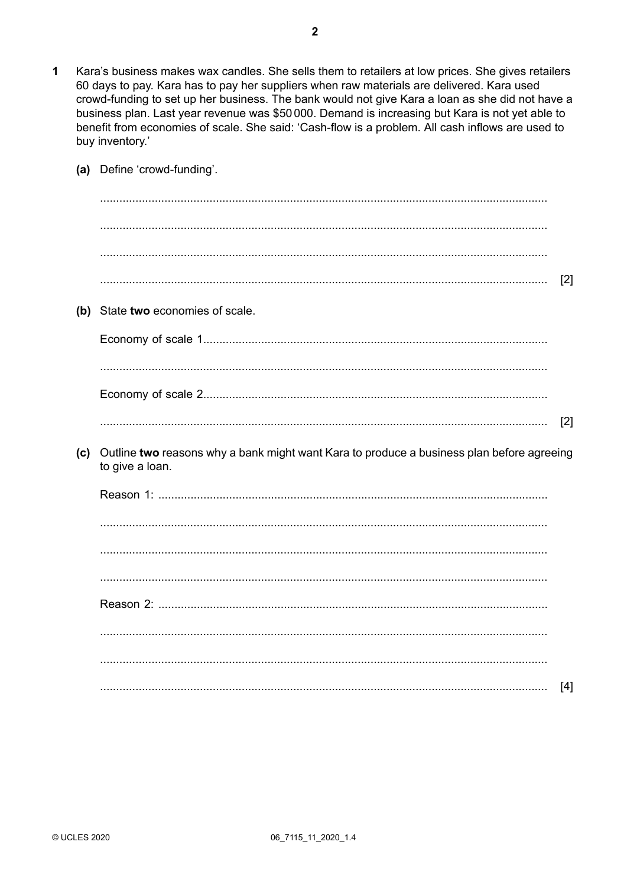$\mathbf{1}$ Kara's business makes wax candles. She sells them to retailers at low prices. She gives retailers 60 days to pay. Kara has to pay her suppliers when raw materials are delivered. Kara used crowd-funding to set up her business. The bank would not give Kara a loan as she did not have a business plan. Last year revenue was \$50 000. Demand is increasing but Kara is not yet able to benefit from economies of scale. She said: 'Cash-flow is a problem. All cash inflows are used to buy inventory.'

|     | (a) Define 'crowd-funding'.                                                                                  |       |
|-----|--------------------------------------------------------------------------------------------------------------|-------|
|     |                                                                                                              |       |
|     |                                                                                                              |       |
|     |                                                                                                              |       |
|     |                                                                                                              | $[2]$ |
|     | (b) State two economies of scale.                                                                            |       |
|     |                                                                                                              |       |
|     |                                                                                                              |       |
|     |                                                                                                              |       |
|     |                                                                                                              | $[2]$ |
|     |                                                                                                              |       |
| (c) | Outline two reasons why a bank might want Kara to produce a business plan before agreeing<br>to give a loan. |       |
|     |                                                                                                              |       |
|     |                                                                                                              |       |
|     |                                                                                                              |       |
|     |                                                                                                              |       |
|     |                                                                                                              |       |
|     |                                                                                                              |       |
|     |                                                                                                              |       |
|     |                                                                                                              |       |
|     |                                                                                                              | [4]   |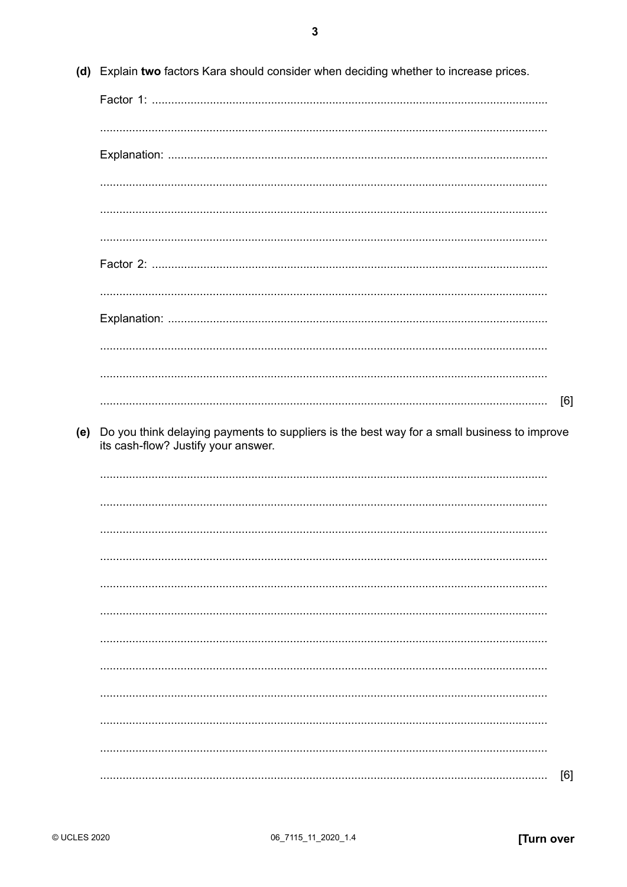| (d) Explain two factors Kara should consider when deciding whether to increase prices.                                             |
|------------------------------------------------------------------------------------------------------------------------------------|
|                                                                                                                                    |
|                                                                                                                                    |
|                                                                                                                                    |
|                                                                                                                                    |
|                                                                                                                                    |
|                                                                                                                                    |
|                                                                                                                                    |
|                                                                                                                                    |
|                                                                                                                                    |
|                                                                                                                                    |
|                                                                                                                                    |
|                                                                                                                                    |
|                                                                                                                                    |
|                                                                                                                                    |
| Do you think delaying payments to suppliers is the best way for a small business to improve<br>its cash-flow? Justify your answer. |
|                                                                                                                                    |
|                                                                                                                                    |
|                                                                                                                                    |
|                                                                                                                                    |
|                                                                                                                                    |
|                                                                                                                                    |
|                                                                                                                                    |
|                                                                                                                                    |
|                                                                                                                                    |
|                                                                                                                                    |
|                                                                                                                                    |
|                                                                                                                                    |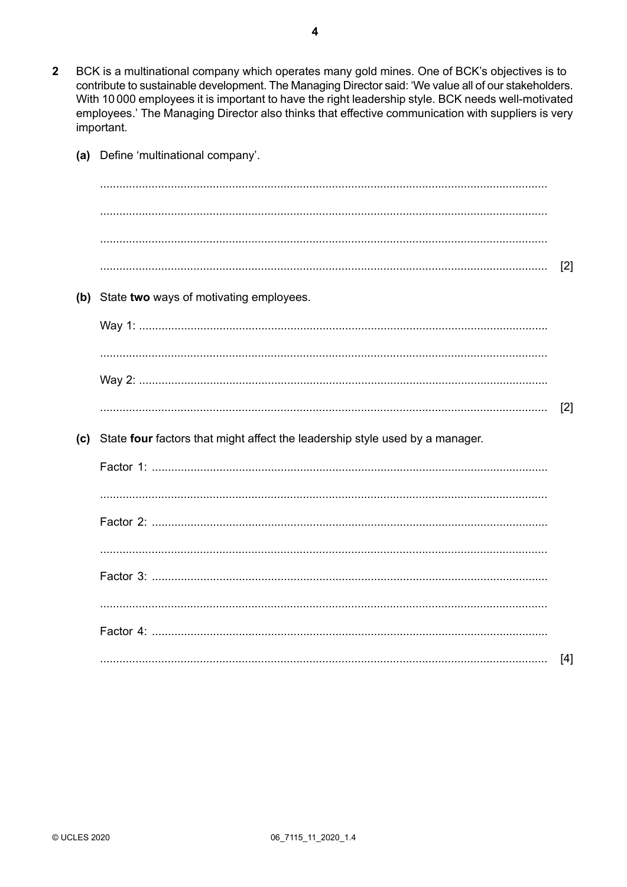$\overline{2}$ BCK is a multinational company which operates many gold mines. One of BCK's objectives is to contribute to sustainable development. The Managing Director said: 'We value all of our stakeholders. With 10000 employees it is important to have the right leadership style. BCK needs well-motivated employees.' The Managing Director also thinks that effective communication with suppliers is very important.

|     | (a) Define 'multinational company'.                                          |       |
|-----|------------------------------------------------------------------------------|-------|
|     |                                                                              |       |
|     |                                                                              |       |
|     |                                                                              | $[2]$ |
|     | (b) State two ways of motivating employees.                                  |       |
|     |                                                                              |       |
|     |                                                                              |       |
|     |                                                                              |       |
|     |                                                                              | $[2]$ |
| (c) | State four factors that might affect the leadership style used by a manager. |       |
|     |                                                                              |       |
|     |                                                                              |       |
|     |                                                                              |       |
|     |                                                                              |       |
|     |                                                                              |       |
|     |                                                                              |       |
|     |                                                                              | [4]   |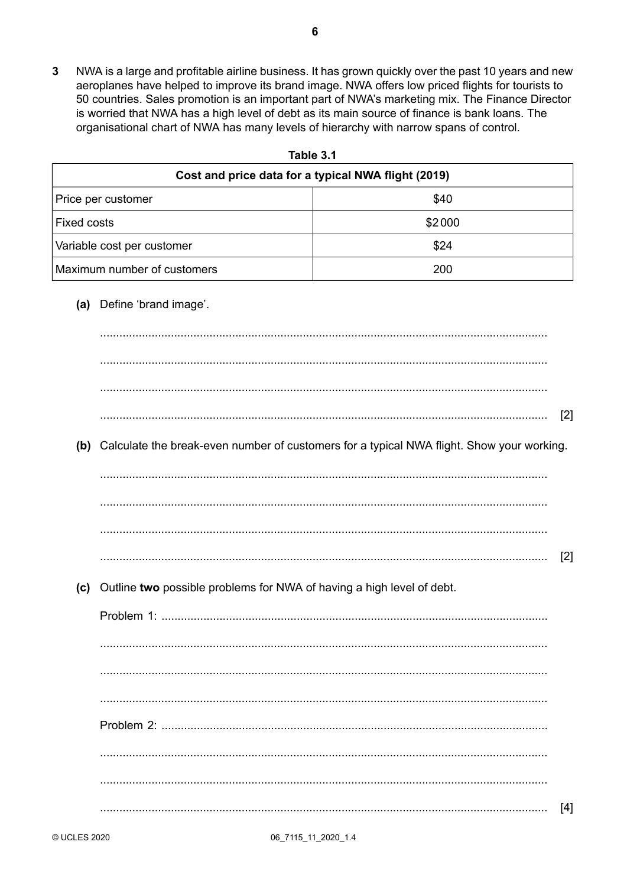NWA is a large and profitable airline business. It has grown quickly over the past 10 years and new  $\overline{3}$ aeroplanes have helped to improve its brand image. NWA offers low priced flights for tourists to 50 countries. Sales promotion is an important part of NWA's marketing mix. The Finance Director is worried that NWA has a high level of debt as its main source of finance is bank loans. The organisational chart of NWA has many levels of hierarchy with narrow spans of control.

|                            |                                                                       | Table 3.1                                                                                     |       |
|----------------------------|-----------------------------------------------------------------------|-----------------------------------------------------------------------------------------------|-------|
|                            |                                                                       | Cost and price data for a typical NWA flight (2019)                                           |       |
|                            | Price per customer                                                    | \$40                                                                                          |       |
| <b>Fixed costs</b>         |                                                                       | \$2000                                                                                        |       |
| Variable cost per customer |                                                                       | \$24                                                                                          |       |
|                            | Maximum number of customers                                           | 200                                                                                           |       |
|                            | (a) Define 'brand image'.                                             |                                                                                               |       |
|                            |                                                                       | (b) Calculate the break-even number of customers for a typical NWA flight. Show your working. | $[2]$ |
|                            |                                                                       |                                                                                               | $[2]$ |
| (c)                        | Outline two possible problems for NWA of having a high level of debt. |                                                                                               |       |
|                            |                                                                       |                                                                                               | $[4]$ |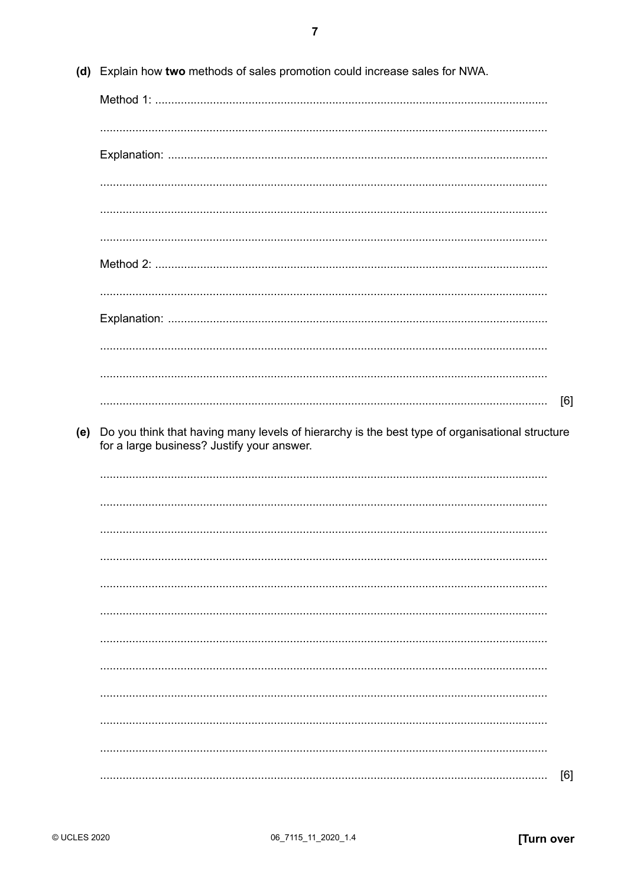|     | (d) Explain how two methods of sales promotion could increase sales for NWA.                                                                 |     |
|-----|----------------------------------------------------------------------------------------------------------------------------------------------|-----|
|     |                                                                                                                                              |     |
|     |                                                                                                                                              |     |
|     |                                                                                                                                              |     |
|     |                                                                                                                                              |     |
|     |                                                                                                                                              |     |
|     |                                                                                                                                              |     |
|     |                                                                                                                                              |     |
|     |                                                                                                                                              |     |
|     |                                                                                                                                              |     |
|     |                                                                                                                                              |     |
|     |                                                                                                                                              |     |
|     |                                                                                                                                              |     |
|     |                                                                                                                                              |     |
|     |                                                                                                                                              |     |
|     |                                                                                                                                              |     |
|     |                                                                                                                                              | [6] |
|     |                                                                                                                                              |     |
| (e) | Do you think that having many levels of hierarchy is the best type of organisational structure<br>for a large business? Justify your answer. |     |
|     |                                                                                                                                              |     |
|     |                                                                                                                                              |     |
|     |                                                                                                                                              |     |
|     |                                                                                                                                              |     |
|     |                                                                                                                                              |     |
|     |                                                                                                                                              |     |
|     |                                                                                                                                              |     |
|     |                                                                                                                                              |     |
|     |                                                                                                                                              |     |
|     |                                                                                                                                              |     |
|     |                                                                                                                                              |     |
|     |                                                                                                                                              |     |
|     |                                                                                                                                              |     |
|     |                                                                                                                                              |     |
|     |                                                                                                                                              | [6] |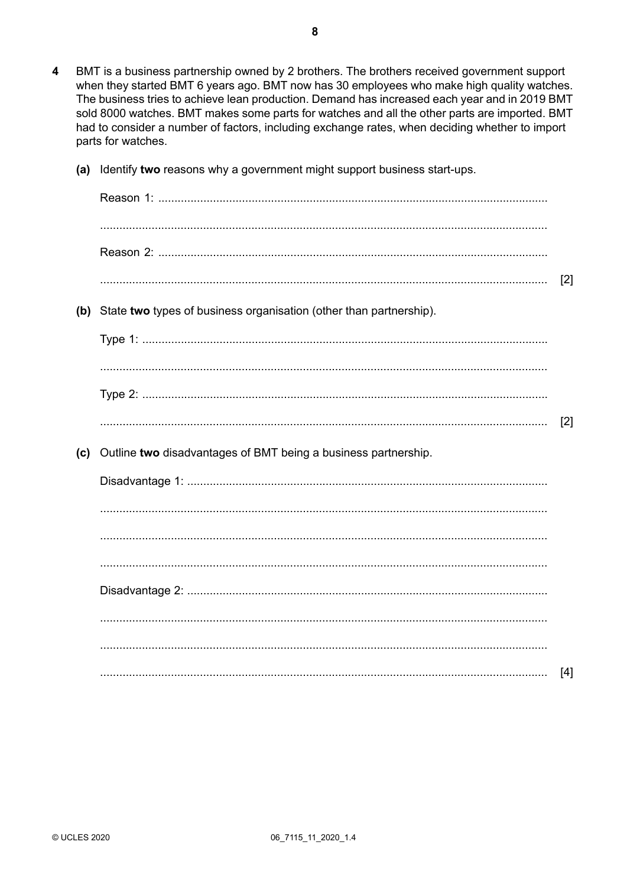- BMT is a business partnership owned by 2 brothers. The brothers received government support  $\boldsymbol{\Lambda}$ when they started BMT 6 years ago. BMT now has 30 employees who make high quality watches. The business tries to achieve lean production. Demand has increased each year and in 2019 BMT sold 8000 watches. BMT makes some parts for watches and all the other parts are imported. BMT had to consider a number of factors, including exchange rates, when deciding whether to import parts for watches.
	- (a) Identify two reasons why a government might support business start-ups. (b) State two types of business organisation (other than partnership). (c) Outline two disadvantages of BMT being a business partnership.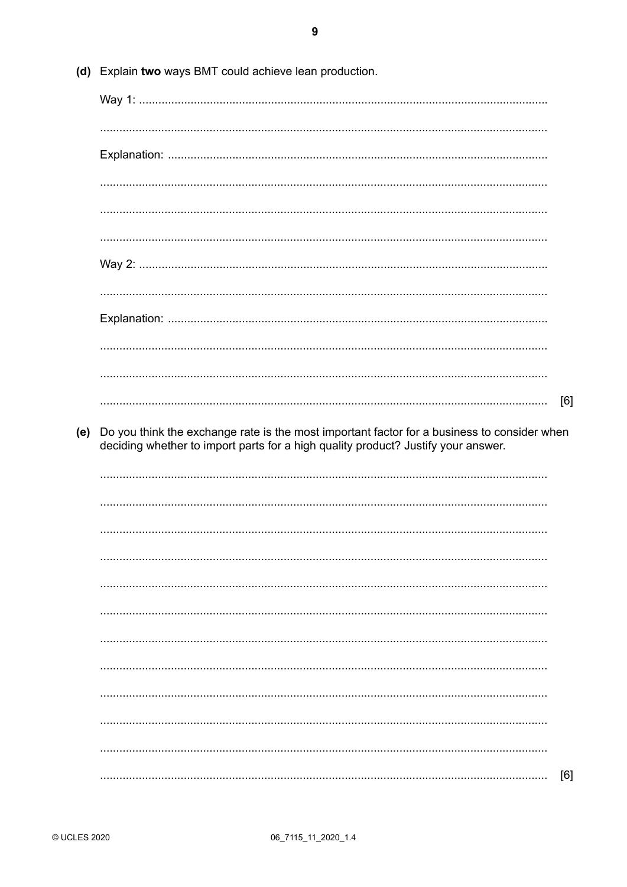|     | (d) Explain two ways BMT could achieve lean production.                                                                                                                          |     |
|-----|----------------------------------------------------------------------------------------------------------------------------------------------------------------------------------|-----|
|     |                                                                                                                                                                                  |     |
|     |                                                                                                                                                                                  |     |
|     |                                                                                                                                                                                  |     |
|     |                                                                                                                                                                                  |     |
|     |                                                                                                                                                                                  |     |
|     |                                                                                                                                                                                  |     |
|     |                                                                                                                                                                                  |     |
|     |                                                                                                                                                                                  |     |
|     |                                                                                                                                                                                  |     |
|     |                                                                                                                                                                                  |     |
|     |                                                                                                                                                                                  |     |
|     |                                                                                                                                                                                  | [6] |
|     |                                                                                                                                                                                  |     |
| (e) |                                                                                                                                                                                  |     |
|     | Do you think the exchange rate is the most important factor for a business to consider when<br>deciding whether to import parts for a high quality product? Justify your answer. |     |
|     |                                                                                                                                                                                  |     |
|     |                                                                                                                                                                                  |     |
|     |                                                                                                                                                                                  |     |
|     |                                                                                                                                                                                  |     |
|     |                                                                                                                                                                                  |     |
|     |                                                                                                                                                                                  |     |
|     |                                                                                                                                                                                  |     |
|     |                                                                                                                                                                                  |     |
|     |                                                                                                                                                                                  |     |
|     |                                                                                                                                                                                  |     |
|     |                                                                                                                                                                                  |     |
|     |                                                                                                                                                                                  | [6] |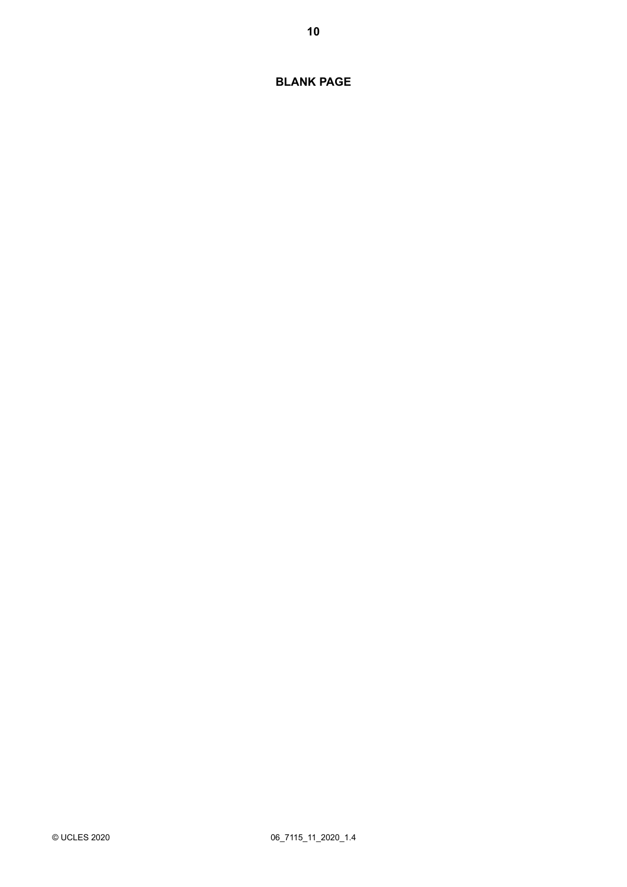## **BLANK PAGE**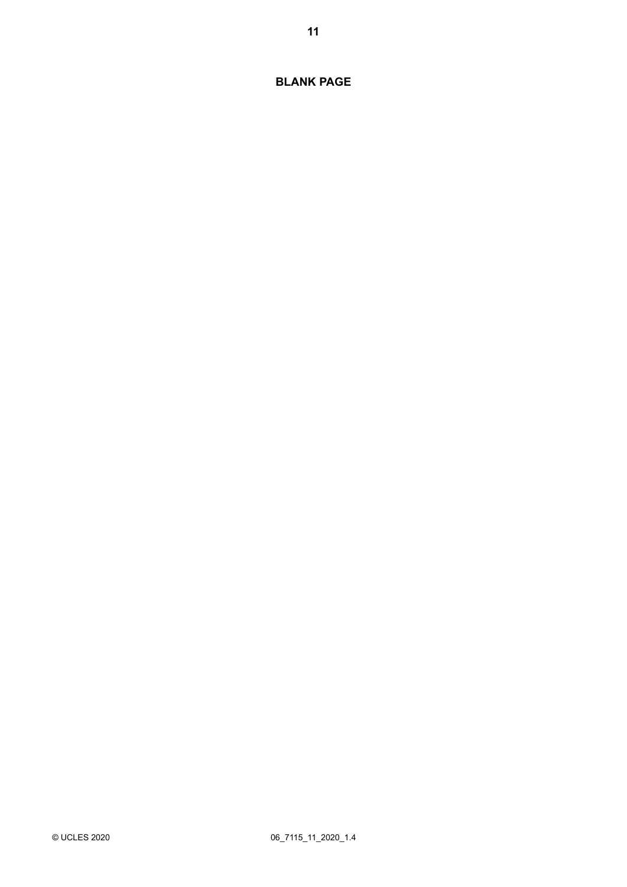# **BLANK PAGE**